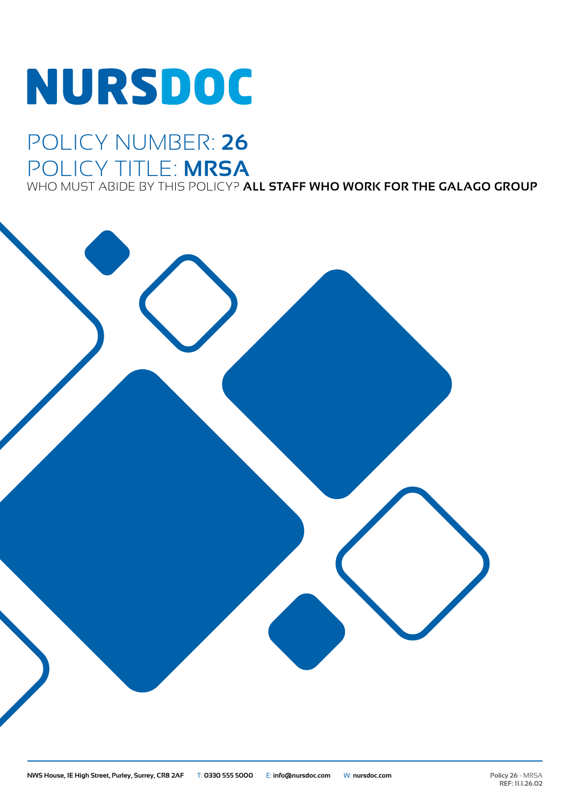# **NURSDOC**

### POLICY NUMBER: **26** POLICY TITLE: **MRSA**

WHO MUST ABIDE BY THIS POLICY? **ALL STAFF WHO WORK FOR THE GALAGO GROUP**